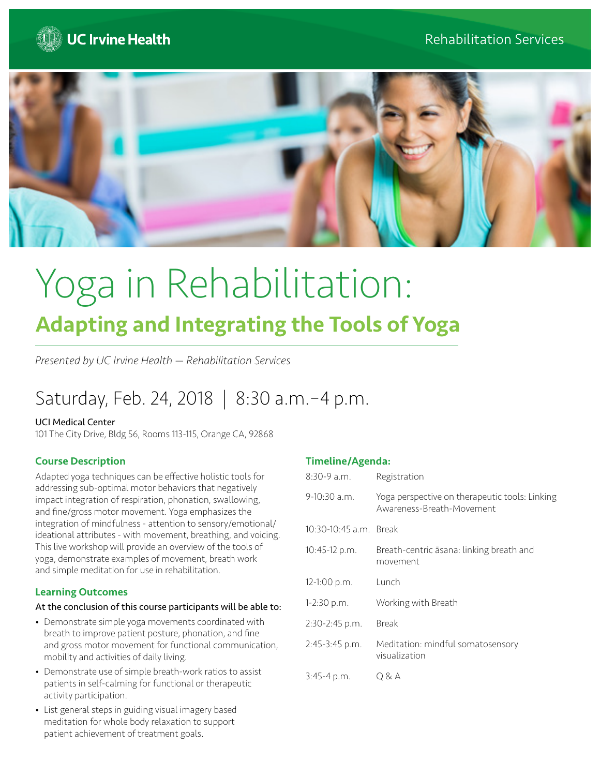



# Yoga in Rehabilitation: Adapting and Integrating the Tools of Yoga

*Presented by UC Irvine Health — Rehabilitation Services*

# Saturday, Feb. 24, 2018 | 8:30 a.m.–4 p.m.

#### UCI Medical Center

101 The City Drive, Bldg 56, Rooms 113-115, Orange CA, 92868

# Course Description

Adapted yoga techniques can be effective holistic tools for addressing sub-optimal motor behaviors that negatively impact integration of respiration, phonation, swallowing, and fine/gross motor movement. Yoga emphasizes the integration of mindfulness - attention to sensory/emotional/ ideational attributes - with movement, breathing, and voicing. This live workshop will provide an overview of the tools of yoga, demonstrate examples of movement, breath work and simple meditation for use in rehabilitation.

# Learning Outcomes

#### At the conclusion of this course participants will be able to:

- Demonstrate simple yoga movements coordinated with breath to improve patient posture, phonation, and fine and gross motor movement for functional communication, mobility and activities of daily living.
- Demonstrate use of simple breath-work ratios to assist patients in self-calming for functional or therapeutic activity participation.
- List general steps in guiding visual imagery based meditation for whole body relaxation to support patient achievement of treatment goals.

# Timeline/Agenda:

| $8:30-9$ a.m.          | Registration                                                                |
|------------------------|-----------------------------------------------------------------------------|
| $9-10:30$ a.m.         | Yoga perspective on therapeutic tools: Linking<br>Awareness-Breath-Movement |
| 10:30-10:45 a.m. Break |                                                                             |
| $10:45-12 p.m.$        | Breath-centric asana: linking breath and<br>movement                        |
| $12-1:00 p.m.$         | Lunch                                                                       |
| 1-2:30 p.m.            | Working with Breath                                                         |
| 2:30-2:45 p.m.         | Break                                                                       |
| $2:45-3:45$ p.m.       | Meditation: mindful somatosensory<br>visualization                          |
| $3:45-4 p.m.$          | Q & A                                                                       |